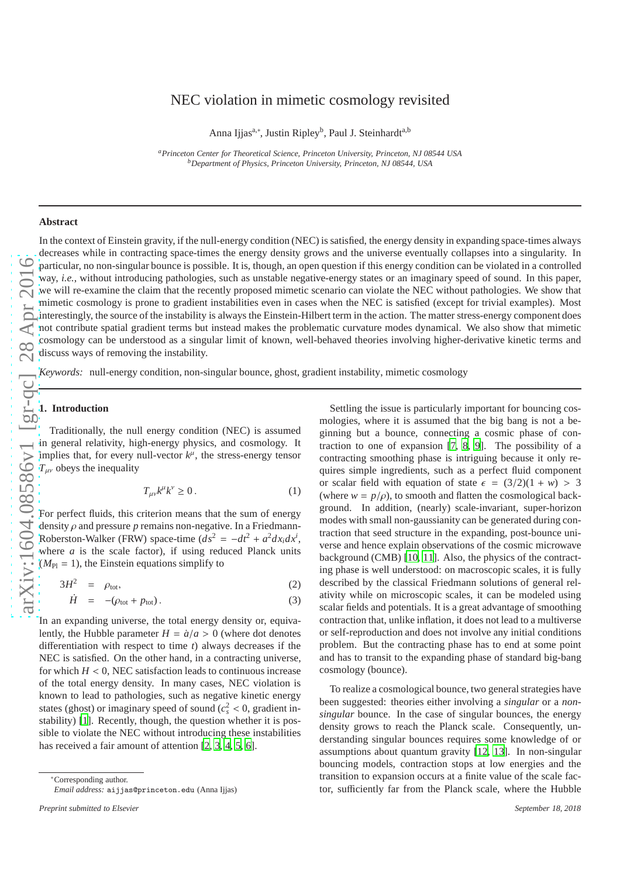# $\text{arXiv:1604.08586v1} \quad \text{[gr-qc]} \quad 28 \text{ Apr } 2016$ arXiv:1604.08586v1 [gr-qc] 28 Apr 201

# NEC violation in mimetic cosmology revisited

Anna Ijjas<sup>a,\*</sup>, Justin Ripley<sup>b</sup>, Paul J. Steinhardt<sup>a,b</sup>

*<sup>a</sup>Princeton Center for Theoretical Science, Princeton University, Princeton, NJ 08544 USA <sup>b</sup>Department of Physics, Princeton University, Princeton, NJ 08544, USA*

# **Abstract**

In the context of Einstein gravity, if the null-energy condition (NEC) is satisfied, the energy density in expanding space-times always decreases while in contracting space-times the energy density grows and the universe eventually collapses into a singularity. In particular, no non-singular bounce is possible. It is, though, an open question if this energy condition can be violated in a controlled way, *i.e.*, without introducing pathologies, such as unstable negative-energy states or an imaginary speed of sound. In this paper, we will re-examine the claim that the recently proposed mimetic scenario can violate the NEC without pathologies. We show that mimetic cosmology is prone to gradient instabilities even in cases when the NEC is satisfied (except for trivial examples). Most interestingly, the source of the instability is always the Einstein-Hilbert term in the action. The matter stress-energy component does not contribute spatial gradient terms but instead makes the problematic curvature modes dynamical. We also show that mimetic cosmology can be understood as a singular limit of known, well-behaved theories involving higher-derivative kinetic terms and discuss ways of removing the instability.

*Keywords:* null-energy condition, non-singular bounce, ghost, gradient instability, mimetic cosmology

# **1. Introduction**

Traditionally, the null energy condition (NEC) is assumed in general relativity, high-energy physics, and cosmology. It implies that, for every null-vector  $k^{\mu}$ , the stress-energy tensor  $T_{\mu\nu}$  obeys the inequality

$$
T_{\mu\nu}k^{\mu}k^{\nu}\geq 0\,. \tag{1}
$$

For perfect fluids, this criterion means that the sum of energy density  $\rho$  and pressure  $p$  remains non-negative. In a Friedmann-Roberston-Walker (FRW) space-time  $(ds^2 = -dt^2 + a^2 dx_i dx^i$ , where *a* is the scale factor), if using reduced Planck units  $(M_{\text{Pl}} = 1)$ , the Einstein equations simplify to

$$
3H^2 = \rho_{\text{tot}}, \tag{2}
$$

$$
\dot{H} = -(\rho_{\text{tot}} + p_{\text{tot}}). \tag{3}
$$

In an expanding universe, the total energy density or, equivalently, the Hubble parameter  $H = \dot{a}/a > 0$  (where dot denotes di fferentiation with respect to time *t*) always decreases if the NEC is satisfied. On the other hand, in a contracting universe, for which  $H < 0$ , NEC satisfaction leads to continuous increase of the total energy density. In many cases, NEC violation is known to lead to pathologies, such as negative kinetic energ y states (ghost) or imaginary speed of sound ( $c_s^2 < 0$ , gradient instability) [\[1](#page-6-0)]. Recently, though, the question whether it is possible to violate the NEC without introducing these instabilities has received a fair amount of attention [\[2](#page-6-1), [3](#page-6-2), [4](#page-6-3), [5](#page-6-4), [6](#page-6-5)].

Settling the issue is particularly important for bouncing cosmologies, where it is assumed that the big bang is not a beginning but a bounce, connecting a cosmic phase of contraction to one of expansion [\[7,](#page-6-6) [8](#page-6-7), [9\]](#page-6-8). The possibility of a contracting smoothing phase is intriguing because it only requires simple ingredients, such as a perfect fluid component or scalar field with equation of state  $\epsilon = (3/2)(1 + w) > 3$ (where  $w = p/\rho$ ), to smooth and flatten the cosmological background. In addition, (nearly) scale-invariant, super-horizon modes with small non-gaussianity can be generated during contraction that seed structure in the expanding, post-bounce universe and hence explain observations of the cosmic microwave background (CMB) [\[10,](#page-6-9) [11](#page-6-10)]. Also, the physics of the contract ing phase is well understood: on macroscopic scales, it is fully described by the classical Friedmann solutions of general relativity while on microscopic scales, it can be modeled using scalar fields and potentials. It is a great advantage of smoothing contraction that, unlike inflation, it does not lead to a multiverse or self-reproduction and does not involve any initial conditions problem. But the contracting phase has to end at some point and has to transit to the expanding phase of standard big-ban g cosmology (bounce).

To realize a cosmological bounce, two general strategies have been suggested: theories either involving a *singular* or a *nonsingular* bounce. In the case of singular bounces, the energy density grows to reach the Planck scale. Consequently, understanding singular bounces requires some knowledge of or assumptions about quantum gravity [\[12,](#page-6-11) [13\]](#page-6-12). In non-singula r bouncing models, contraction stops at low energies and the transition to expansion occurs at a finite value of the scale factor, sufficiently far from the Planck scale, where the Hubble

<sup>∗</sup>Corresponding author. *Email address:* aijjas@princeton.edu (Anna Ijjas)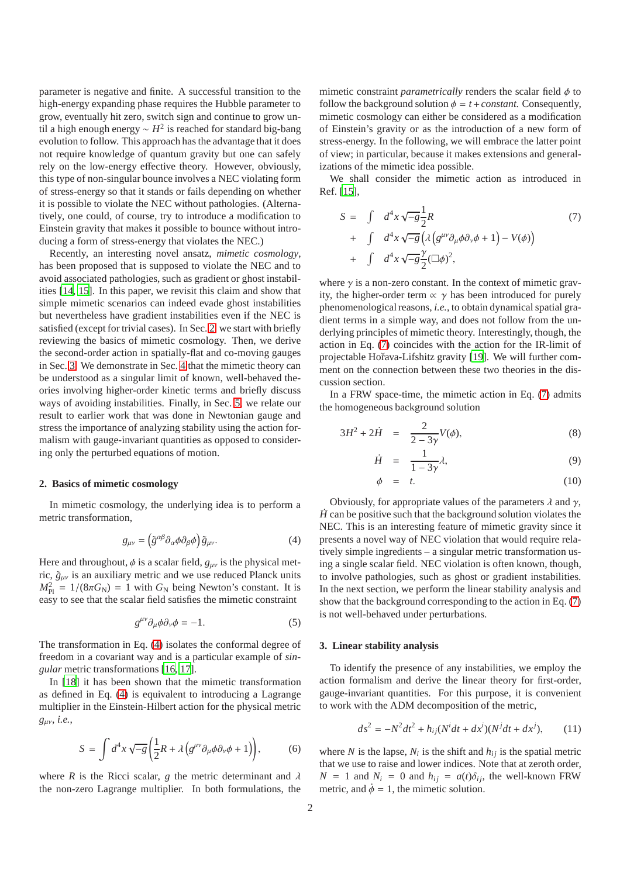parameter is negative and finite. A successful transition to the high-energy expanding phase requires the Hubble parameter to grow, eventually hit zero, switch sign and continue to grow until a high enough energy ∼ *H* 2 is reached for standard big-bang evolution to follow. This approach has the advantage that it does not require knowledge of quantum gravity but one can safely rely on the low-energy effective theory. However, obviously, this type of non-singular bounce involves a NEC violating form of stress-energy so that it stands or fails depending on whether it is possible to violate the NEC without pathologies. (Alternatively, one could, of course, try to introduce a modification to Einstein gravity that makes it possible to bounce without introducing a form of stress-energy that violates the NEC.)

Recently, an interesting novel ansatz, *mimetic cosmology*, has been proposed that is supposed to violate the NEC and to avoid associated pathologies, such as gradient or ghost instabilities [\[14](#page-6-13), [15](#page-6-14)]. In this paper, we revisit this claim and show that simple mimetic scenarios can indeed evade ghost instabilities but nevertheless have gradient instabilities even if the NEC is satisfied (except for trivial cases). In Sec. [2,](#page-1-0) we start with briefly reviewing the basics of mimetic cosmology. Then, we derive the second-order action in spatially-flat and co-moving gauges in Sec. [3.](#page-1-1) We demonstrate in Sec. [4](#page-4-0) that the mimetic theory can be understood as a singular limit of known, well-behaved theories involving higher-order kinetic terms and briefly discuss ways of avoiding instabilities. Finally, in Sec. [5,](#page-6-15) we relate our result to earlier work that was done in Newtonian gauge and stress the importance of analyzing stability using the action formalism with gauge-invariant quantities as opposed to considering only the perturbed equations of motion.

### <span id="page-1-0"></span>**2. Basics of mimetic cosmology**

In mimetic cosmology, the underlying idea is to perform a metric transformation,

<span id="page-1-2"></span>
$$
g_{\mu\nu} = \left(\tilde{g}^{\alpha\beta}\partial_{\alpha}\phi\partial_{\beta}\phi\right)\tilde{g}_{\mu\nu}.\tag{4}
$$

Here and throughout,  $\phi$  is a scalar field,  $g_{\mu\nu}$  is the physical metric,  $\tilde{g}_{\mu\nu}$  is an auxiliary metric and we use reduced Planck units  $M_{\text{Pl}}^2 = 1/(8\pi G_{\text{N}}) = 1$  with  $G_{\text{N}}$  being Newton's constant. It is easy to see that the scalar field satisfies the mimetic constraint

$$
g^{\mu\nu}\partial_{\mu}\phi\partial_{\nu}\phi = -1.
$$
 (5)

The transformation in Eq. [\(4\)](#page-1-2) isolates the conformal degree of freedom in a covariant way and is a particular example of *singular* metric transformations [\[16,](#page-6-16) [17\]](#page-6-17).

In [\[18\]](#page-6-18) it has been shown that the mimetic transformation as defined in Eq. [\(4\)](#page-1-2) is equivalent to introducing a Lagrange multiplier in the Einstein-Hilbert action for the physical metric *g*µν, *i.e.*,

$$
S = \int d^4x \sqrt{-g} \left( \frac{1}{2} R + \lambda \left( g^{\mu \nu} \partial_{\mu} \phi \partial_{\nu} \phi + 1 \right) \right), \tag{6}
$$

where *R* is the Ricci scalar, *g* the metric determinant and  $\lambda$ the non-zero Lagrange multiplier. In both formulations, the

mimetic constraint *parametrically* renders the scalar field φ to follow the background solution  $\phi = t + constant$ . Consequently, mimetic cosmology can either be considered as a modification of Einstein's gravity or as the introduction of a new form of stress-energy. In the following, we will embrace the latter point of view; in particular, because it makes extensions and generalizations of the mimetic idea possible.

We shall consider the mimetic action as introduced in Ref. [\[15](#page-6-14)],

<span id="page-1-3"></span>
$$
S = \int d^4x \sqrt{-g} \frac{1}{2} R
$$
  
+ 
$$
\int d^4x \sqrt{-g} \left( \lambda \left( g^{\mu\nu} \partial_\mu \phi \partial_\nu \phi + 1 \right) - V(\phi) \right)
$$
  
+ 
$$
\int d^4x \sqrt{-g} \frac{\gamma}{2} (\Box \phi)^2,
$$
 (7)

where  $\gamma$  is a non-zero constant. In the context of mimetic gravity, the higher-order term  $\alpha$   $\gamma$  has been introduced for purely phenomenological reasons, *i.e.*, to obtain dynamical spatial gradient terms in a simple way, and does not follow from the underlying principles of mimetic theory. Interestingly, though, the action in Eq. [\(7\)](#page-1-3) coincides with the action for the IR-limit of projectable Hořava-Lifshitz gravity [\[19\]](#page-7-0). We will further comment on the connection between these two theories in the discussion section.

In a FRW space-time, the mimetic action in Eq. [\(7\)](#page-1-3) admits the homogeneous background solution

<span id="page-1-4"></span>
$$
3H^2 + 2\dot{H} = \frac{2}{2 - 3\gamma} V(\phi),
$$
 (8)

$$
\dot{H} = \frac{1}{1 - 3\gamma} \lambda,\tag{9}
$$

$$
\phi = t. \tag{10}
$$

Obviously, for appropriate values of the parameters  $\lambda$  and  $\gamma$ ,  $\dot{H}$  can be positive such that the background solution violates the NEC. This is an interesting feature of mimetic gravity since it presents a novel way of NEC violation that would require relatively simple ingredients – a singular metric transformation using a single scalar field. NEC violation is often known, though, to involve pathologies, such as ghost or gradient instabilities. In the next section, we perform the linear stability analysis and show that the background corresponding to the action in Eq. [\(7\)](#page-1-3) is not well-behaved under perturbations.

#### <span id="page-1-6"></span><span id="page-1-1"></span>**3. Linear stability analysis**

To identify the presence of any instabilities, we employ the action formalism and derive the linear theory for first-order, gauge-invariant quantities. For this purpose, it is convenient to work with the ADM decomposition of the metric,

<span id="page-1-5"></span>
$$
ds^{2} = -N^{2}dt^{2} + h_{ij}(N^{i}dt + dx^{i})(N^{j}dt + dx^{j}),
$$
 (11)

where *N* is the lapse,  $N_i$  is the shift and  $h_{ij}$  is the spatial metric that we use to raise and lower indices. Note that at zeroth order,  $N = 1$  and  $N_i = 0$  and  $h_{ij} = a(t)\delta_{ij}$ , the well-known FRW metric, and  $\dot{\phi} = 1$ , the mimetic solution.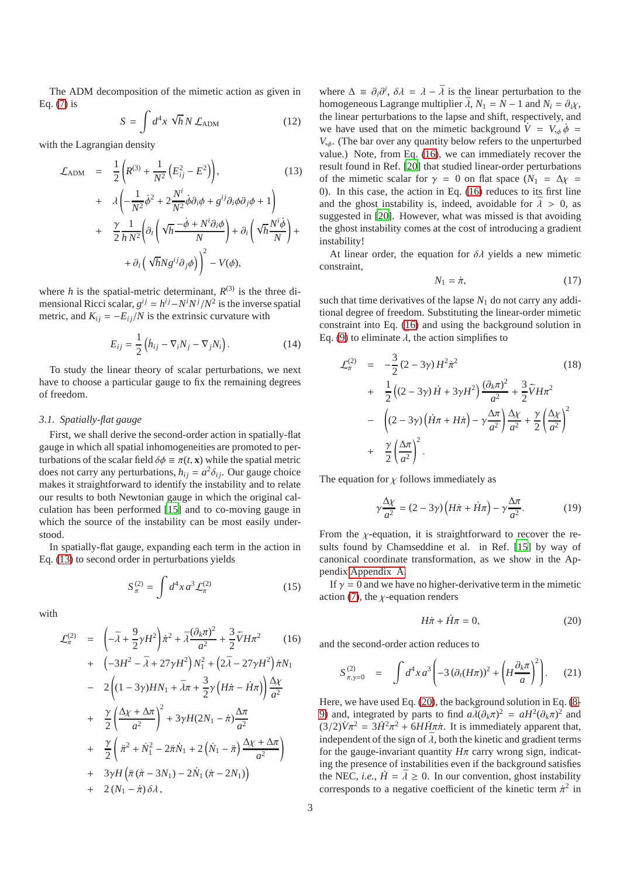The ADM decomposition of the mimetic action as given in Eq. [\(7\)](#page-1-3) is

$$
S = \int d^4x \sqrt{h} N \mathcal{L}_{\text{ADM}} \tag{12}
$$

with the Lagrangian density

<span id="page-2-0"></span>
$$
\mathcal{L}_{\text{ADM}} = \frac{1}{2} \left( R^{(3)} + \frac{1}{N^2} \left( E_{ij}^2 - E^2 \right) \right), \tag{13}
$$
\n
$$
+ \lambda \left( -\frac{1}{N^2} \dot{\phi}^2 + 2 \frac{N^i}{N^2} \dot{\phi} \partial_i \phi + g^{ij} \partial_i \phi \partial_j \phi + 1 \right)
$$
\n
$$
+ \frac{\gamma}{2} \frac{1}{h N^2} \left( \partial_t \left( \sqrt{h} \frac{-\dot{\phi} + N^i \partial_i \phi}{N} \right) + \partial_i \left( \sqrt{h} \frac{N^i \dot{\phi}}{N} \right) + \partial_i \left( \sqrt{h} \frac{N^i \dot{\phi}}{N} \right) + \partial_i \left( \sqrt{h} N g^{ij} \partial_j \phi \right) \right)^2 - V(\phi),
$$

where *h* is the spatial-metric determinant,  $R^{(3)}$  is the three dimensional Ricci scalar,  $g^{ij} = h^{ij} - N^i N^j / N^2$  is the inverse spatial metric, and  $K_{ii} = -E_{ii}/N$  is the extrinsic curvature with

$$
E_{ij} = \frac{1}{2} \left( \dot{h}_{ij} - \nabla_i N_j - \nabla_j N_i \right). \tag{14}
$$

To study the linear theory of scalar perturbations, we next have to choose a particular gauge to fix the remaining degrees of freedom.

# <span id="page-2-5"></span>*3.1. Spatially-flat gauge*

First, we shall derive the second-order action in spatially-flat gauge in which all spatial inhomogeneities are promoted to perturbations of the scalar field  $\delta \phi \equiv \pi(t, \mathbf{x})$  while the spatial metric does not carry any perturbations,  $h_{ij} = a^2 \delta_{ij}$ . Our gauge choice makes it straightforward to identify the instability and to relate our results to both Newtonian gauge in which the original calculation has been performed [\[15\]](#page-6-14) and to co-moving gauge in which the source of the instability can be most easily understood.

In spatially-flat gauge, expanding each term in the action in Eq. [\(13\)](#page-2-0) to second order in perturbations yields

$$
S_{\pi}^{(2)} = \int d^4x \, a^3 \mathcal{L}_{\pi}^{(2)} \tag{15}
$$

with

<span id="page-2-1"></span>
$$
\mathcal{L}_{\pi}^{(2)} = \left(-\bar{\lambda} + \frac{9}{2}\gamma H^{2}\right)\dot{\pi}^{2} + \bar{\lambda}\frac{(\partial_{k}\pi)^{2}}{a^{2}} + \frac{3}{2}\dot{\nabla}H\pi^{2} \qquad (16)
$$
\n
$$
+ \left(-3H^{2} - \bar{\lambda} + 27\gamma H^{2}\right)N_{1}^{2} + \left(2\bar{\lambda} - 27\gamma H^{2}\right)\dot{\pi}N_{1}
$$
\n
$$
- 2\left((1 - 3\gamma)HN_{1} + \bar{\lambda}\pi + \frac{3}{2}\gamma\left(H\dot{\pi} - \dot{H}\pi\right)\right)\frac{\Delta\chi}{a^{2}}
$$
\n
$$
+ \frac{\gamma}{2}\left(\frac{\Delta\chi + \Delta\pi}{a^{2}}\right)^{2} + 3\gamma H(2N_{1} - \dot{\pi})\frac{\Delta\pi}{a^{2}}
$$
\n
$$
+ \frac{\gamma}{2}\left(\dot{\pi}^{2} + \dot{N}_{1}^{2} - 2\dot{\pi}\dot{N}_{1} + 2\left(\dot{N}_{1} - \ddot{\pi}\right)\frac{\Delta\chi + \Delta\pi}{a^{2}}\right)
$$
\n
$$
+ 3\gamma H\left(\ddot{\pi}\left(\dot{\pi} - 3N_{1}\right) - 2\dot{N}_{1}\left(\dot{\pi} - 2N_{1}\right)\right)
$$
\n
$$
+ 2\left(N_{1} - \dot{\pi}\right)\delta\lambda,
$$
\n(16)

where  $\Delta \equiv \partial_i \partial^i$ ,  $\delta \lambda = \lambda - \overline{\lambda}$  is the linear perturbation to the homogeneous Lagrange multiplier  $\bar{\lambda}$ ,  $N_1 = N - 1$  and  $N_i = \partial_i \chi$ , the linear perturbations to the lapse and shift, respectively, and we have used that on the mimetic background  $\dot{V} = V_{,\phi} \dot{\phi} =$  $V_{\psi}$ . (The bar over any quantity below refers to the unperturbed value.) Note, from Eq. [\(16\)](#page-2-1), we can immediately recover the result found in Ref. [\[20\]](#page-7-1) that studied linear-order perturbations of the mimetic scalar for  $\gamma = 0$  on flat space  $(N_1 = \Delta \chi)$ 0). In this case, the action in Eq. [\(16\)](#page-2-1) reduces to its first line and the ghost instability is, indeed, avoidable for  $\bar{\lambda} > 0$ , as suggested in [\[20\]](#page-7-1). However, what was missed is that avoiding the ghost instability comes at the cost of introducing a gradient instability!

<span id="page-2-6"></span>At linear order, the equation for  $\delta \lambda$  yields a new mimetic constraint,

$$
N_1 = \dot{\pi},\tag{17}
$$

such that time derivatives of the lapse  $N_1$  do not carry any additional degree of freedom. Substituting the linear-order mimetic constraint into Eq. [\(16\)](#page-2-1) and using the background solution in Eq. [\(9\)](#page-1-4) to eliminate  $\bar{\lambda}$ , the action simplifies to

<span id="page-2-3"></span>
$$
\mathcal{L}_{\pi}^{(2)} = -\frac{3}{2} (2 - 3\gamma) H^2 \dot{\pi}^2
$$
\n
$$
+ \frac{1}{2} \Big( (2 - 3\gamma) \dot{H} + 3\gamma H^2 \Big) \frac{(\partial_k \pi)^2}{a^2} + \frac{3}{2} \dot{\nabla} H \pi^2
$$
\n
$$
- \Big( (2 - 3\gamma) \Big( \dot{H} \pi + H \dot{\pi} \Big) - \gamma \frac{\Delta \pi}{a^2} \Big) \frac{\Delta \chi}{a^2} + \frac{\gamma}{2} \Big( \frac{\Delta \chi}{a^2} \Big)^2
$$
\n
$$
+ \frac{\gamma}{2} \Big( \frac{\Delta \pi}{a^2} \Big)^2.
$$
\n(18)

The equation for  $\chi$  follows immediately as

<span id="page-2-7"></span>
$$
\gamma \frac{\Delta \chi}{a^2} = (2 - 3\gamma) \left( H\dot{\pi} + \dot{H}\pi \right) - \gamma \frac{\Delta \pi}{a^2}.
$$
 (19)

From the  $\chi$ -equation, it is straightforward to recover the results found by Chamseddine et al. in Ref. [\[15\]](#page-6-14) by way of canonical coordinate transformation, as we show in the Appendix [Appendix A.](#page-6-19)

If  $\gamma = 0$  and we have no higher-derivative term in the mimetic action [\(7\)](#page-1-3), the  $\chi$ -equation renders

<span id="page-2-2"></span>
$$
H\dot{\pi} + \dot{H}\pi = 0,\tag{20}
$$

and the second-order action reduces to

<span id="page-2-4"></span>
$$
S_{\pi,\gamma=0}^{(2)} = \int d^4x \, a^3 \left( -3 \left( \partial_t (H\pi) \right)^2 + \left( H \frac{\partial_k \pi}{a} \right)^2 \right). \tag{21}
$$

Here, we have used Eq. [\(20\)](#page-2-2), the background solution in Eq. [\(8-](#page-1-4) [9\)](#page-1-4) and, integrated by parts to find  $a\overline{\lambda}(\partial_k \pi)^2 = aH^2(\partial_k \pi)^2$  and  $(3/2)\dot{V}\pi^2 = 3\dot{H}^2\pi^2 + 6H\dot{H}\pi\dot{\pi}$ . It is immediately apparent that, independent of the sign of  $\overline{\lambda}$ , both the kinetic and gradient terms for the gauge-invariant quantity  $H\pi$  carry wrong sign, indicating the presence of instabilities even if the background satisfies the NEC, *i.e.*,  $\dot{H} = \bar{\lambda} \ge 0$ . In our convention, ghost instability corresponds to a negative coefficient of the kinetic term  $\dot{\pi}^2$  in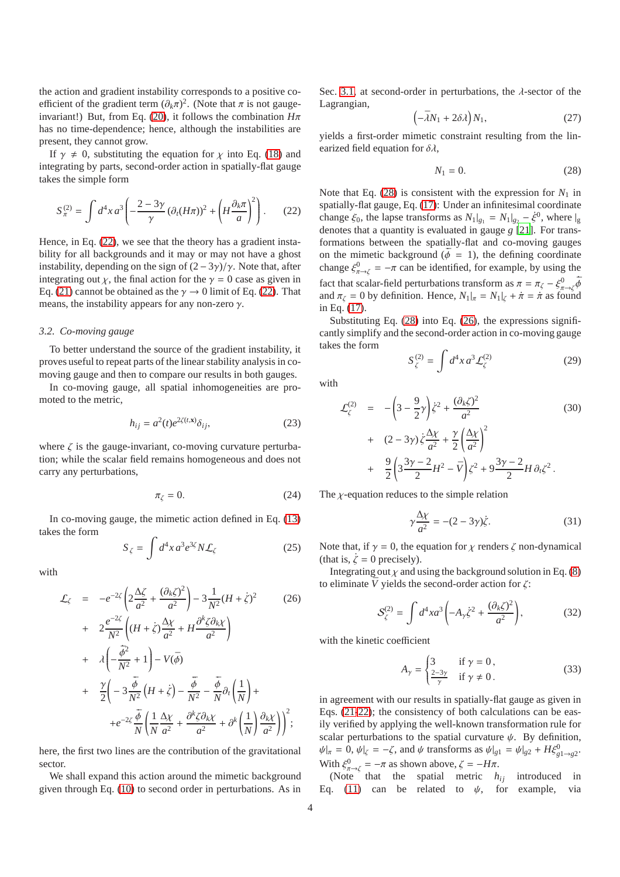the action and gradient instability corresponds to a positive coefficient of the gradient term  $(\partial_k \pi)^2$ . (Note that  $\pi$  is not gauge-invariant!) But, from Eq. [\(20\)](#page-2-2), it follows the combination  $H\pi$ has no time-dependence; hence, although the instabilities are present, they cannot grow.

If  $\gamma \neq 0$ , substituting the equation for  $\chi$  into Eq. [\(18\)](#page-2-3) and integrating by parts, second-order action in spatially-flat gauge takes the simple form

<span id="page-3-0"></span>
$$
S_{\pi}^{(2)} = \int d^4x \, a^3 \left( -\frac{2-3\gamma}{\gamma} \left( \partial_t (H\pi) \right)^2 + \left( H \frac{\partial_k \pi}{a} \right)^2 \right). \tag{22}
$$

Hence, in Eq. [\(22\)](#page-3-0), we see that the theory has a gradient instability for all backgrounds and it may or may not have a ghost instability, depending on the sign of  $(2-3\gamma)/\gamma$ . Note that, after integrating out  $\chi$ , the final action for the  $\gamma = 0$  case as given in Eq. [\(21\)](#page-2-4) cannot be obtained as the  $\gamma \to 0$  limit of Eq. [\(22\)](#page-3-0). That means, the instability appears for any non-zero  $\gamma$ .

#### <span id="page-3-3"></span>*3.2. Co-moving gauge*

To better understand the source of the gradient instability, it proves useful to repeat parts of the linear stability analysis in comoving gauge and then to compare our results in both gauges.

In co-moving gauge, all spatial inhomogeneities are promoted to the metric,

$$
h_{ij} = a^2(t)e^{2\zeta(t,\mathbf{x})}\delta_{ij},\tag{23}
$$

where  $\zeta$  is the gauge-invariant, co-moving curvature perturbation; while the scalar field remains homogeneous and does not carry any perturbations,

$$
\pi_{\zeta} = 0. \tag{24}
$$

In co-moving gauge, the mimetic action defined in Eq. [\(13\)](#page-2-0) takes the form

$$
S_{\zeta} = \int d^4x \, a^3 e^{3\zeta} N \mathcal{L}_{\zeta} \tag{25}
$$

with

<span id="page-3-2"></span>
$$
\mathcal{L}_{\zeta} = -e^{-2\zeta} \left( 2\frac{\Delta\zeta}{a^2} + \frac{(\partial_k\zeta)^2}{a^2} \right) - 3\frac{1}{N^2} (H + \zeta)^2
$$
\n
$$
+ 2\frac{e^{-2\zeta}}{N^2} \left( (H + \zeta) \frac{\Delta\chi}{a^2} + H \frac{\partial^k\zeta \partial_k \chi}{a^2} \right)
$$
\n
$$
+ \lambda \left( -\frac{\dot{\bar{\phi}}^2}{N^2} + 1 \right) - V(\bar{\phi})
$$
\n
$$
+ \frac{\gamma}{2} \left( -3\frac{\dot{\bar{\phi}}}{N^2} \left( H + \zeta \right) - \frac{\ddot{\bar{\phi}}}{N^2} - \frac{\dot{\bar{\phi}}}{N} \partial_t \left( \frac{1}{N} \right) + \frac{\gamma}{2} e^{-2\zeta} \frac{\dot{\bar{\phi}}}{N} \left( \frac{1}{N} \frac{\Delta\chi}{a^2} + \frac{\partial^k\zeta \partial_k \chi}{a^2} + \partial^k \left( \frac{1}{N} \right) \frac{\partial_k \chi}{a^2} \right) \right)^2;
$$
\n(26)

here, the first two lines are the contribution of the gravitational sector.

We shall expand this action around the mimetic background given through Eq. [\(10\)](#page-1-4) to second order in perturbations. As in

Sec. [3.1,](#page-2-5) at second-order in perturbations, the  $\lambda$ -sector of the Lagrangian,

$$
\left(-\bar{\lambda}N_1 + 2\delta\lambda\right)N_1,\tag{27}
$$

yields a first-order mimetic constraint resulting from the linearized field equation for  $\delta \lambda$ ,

<span id="page-3-1"></span>
$$
N_1 = 0.\t(28)
$$

Note that Eq.  $(28)$  is consistent with the expression for  $N_1$  in spatially-flat gauge, Eq. [\(17\)](#page-2-6): Under an infinitesimal coordinate change  $\xi_0$ , the lapse transforms as  $N_1|_{g_1} = N_1|_{g_2} - \xi^0$ , where  $|g_1|$ denotes that a quantity is evaluated in gauge *g* [\[21\]](#page-7-2). For transformations between the spatially-flat and co-moving gauges on the mimetic background ( $\dot{\phi} = 1$ ), the defining coordinate change  $\xi_{\pi \to \zeta}^0 = -\pi$  can be identified, for example, by using the fact that scalar-field perturbations transform as  $\pi = \pi_{\zeta} - \xi_{\pi \to \zeta}^0 \bar{\phi}$ and  $\pi_{\zeta} = 0$  by definition. Hence,  $N_1|_{\pi} = N_1|_{\zeta} + \pi = \pi$  as found in Eq. [\(17\)](#page-2-6).

Substituting Eq. [\(28\)](#page-3-1) into Eq. [\(26\)](#page-3-2), the expressions significantly simplify and the second-order action in co-moving gauge takes the form

$$
S_{\zeta}^{(2)} = \int d^4x \, a^3 \mathcal{L}_{\zeta}^{(2)} \tag{29}
$$

with

$$
\mathcal{L}_{\zeta}^{(2)} = -\left(3 - \frac{9}{2}\gamma\right)\dot{\zeta}^{2} + \frac{(\partial_{k}\zeta)^{2}}{a^{2}} + (2 - 3\gamma)\dot{\zeta}\frac{\Delta\chi}{a^{2}} + \frac{\gamma}{2}\left(\frac{\Delta\chi}{a^{2}}\right)^{2} + \frac{9}{2}\left(3\frac{3\gamma - 2}{2}H^{2} - \bar{V}\right)\zeta^{2} + 9\frac{3\gamma - 2}{2}H\partial_{t}\zeta^{2}.
$$
\n(30)

The  $\chi$ -equation reduces to the simple relation

<span id="page-3-4"></span>
$$
\gamma \frac{\Delta \chi}{a^2} = -(2 - 3\gamma)\dot{\zeta}.\tag{31}
$$

Note that, if  $\gamma = 0$ , the equation for  $\gamma$  renders  $\zeta$  non-dynamical (that is,  $\dot{\zeta} = 0$  precisely).

Integrating out  $\chi$  and using the background solution in Eq. [\(8\)](#page-1-4) to eliminate  $\bar{V}$  yields the second-order action for  $\zeta$ :

$$
S_{\zeta}^{(2)} = \int d^4x a^3 \left( -A_{\gamma} \dot{\zeta}^2 + \frac{(\partial_k \zeta)^2}{a^2} \right),
$$
 (32)

with the kinetic coefficient

$$
A_{\gamma} = \begin{cases} 3 & \text{if } \gamma = 0, \\ \frac{2-3\gamma}{\gamma} & \text{if } \gamma \neq 0. \end{cases}
$$
 (33)

in agreement with our results in spatially-flat gauge as given in Eqs. [\(21-](#page-2-4)[22\)](#page-3-0); the consistency of both calculations can be easily verified by applying the well-known transformation rule for scalar perturbations to the spatial curvature  $\psi$ . By definition,  $\psi|_{\pi} = 0, \psi|_{\zeta} = -\zeta$ , and  $\psi$  transforms as  $\psi|_{g_1} = \psi|_{g_2} + H\xi_{g_1 \to g_2}^0$ . With  $\xi_{\pi\to\zeta}^0 = -\pi$  as shown above,  $\zeta = -H\pi$ .

(Note that the spatial metric  $h_{ij}$  introduced in Eq. [\(11\)](#page-1-5) can be related to  $\psi$ , for example, via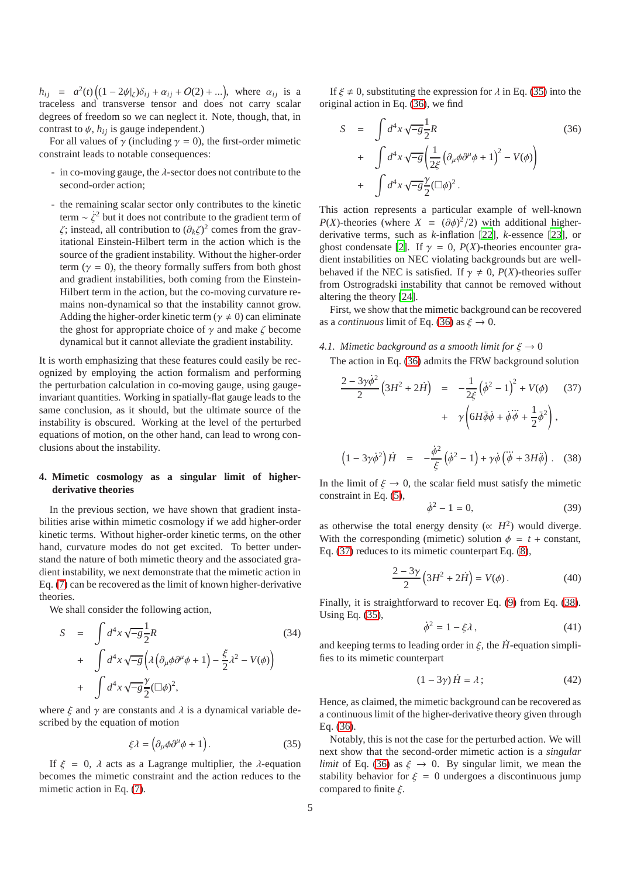$h_{ij} = a^2(t) \Big( (1 - 2\psi|_{\zeta}) \delta_{ij} + \alpha_{ij} + O(2) + ... \Big)$ , where  $\alpha_{ij}$  is a traceless and transverse tensor and does not carry scalar degrees of freedom so we can neglect it. Note, though, that, in contrast to  $\psi$ ,  $h_{ij}$  is gauge independent.)

For all values of  $\gamma$  (including  $\gamma = 0$ ), the first-order mimetic constraint leads to notable consequences:

- in co-moving gauge, the  $\lambda$ -sector does not contribute to the second-order action;
- the remaining scalar sector only contributes to the kinetic term  $\sim \zeta^2$  but it does not contribute to the gradient term of  $\zeta$ ; instead, all contribution to  $(\partial_k \zeta)^2$  comes from the gravitational Einstein-Hilbert term in the action which is the source of the gradient instability. Without the higher-order term ( $\gamma = 0$ ), the theory formally suffers from both ghost and gradient instabilities, both coming from the Einstein-Hilbert term in the action, but the co-moving curvature remains non-dynamical so that the instability cannot grow. Adding the higher-order kinetic term ( $\gamma \neq 0$ ) can eliminate the ghost for appropriate choice of  $\gamma$  and make  $\zeta$  become dynamical but it cannot alleviate the gradient instability.

It is worth emphasizing that these features could easily be recognized by employing the action formalism and performing the perturbation calculation in co-moving gauge, using gaugeinvariant quantities. Working in spatially-flat gauge leads to the same conclusion, as it should, but the ultimate source of the instability is obscured. Working at the level of the perturbed equations of motion, on the other hand, can lead to wrong conclusions about the instability.

# <span id="page-4-0"></span>**4. Mimetic cosmology as a singular limit of higherderivative theories**

In the previous section, we have shown that gradient instabilities arise within mimetic cosmology if we add higher-order kinetic terms. Without higher-order kinetic terms, on the other hand, curvature modes do not get excited. To better understand the nature of both mimetic theory and the associated gradient instability, we next demonstrate that the mimetic action in Eq. [\(7\)](#page-1-3) can be recovered as the limit of known higher-derivative theories.

We shall consider the following action,

<span id="page-4-5"></span>
$$
S = \int d^4x \sqrt{-g} \frac{1}{2} R
$$
\n
$$
+ \int d^4x \sqrt{-g} \left( \lambda \left( \partial_\mu \phi \partial^\mu \phi + 1 \right) - \frac{\xi}{2} \lambda^2 - V(\phi) \right)
$$
\n
$$
+ \int d^4x \sqrt{-g} \frac{\gamma}{2} (\Box \phi)^2,
$$
\n(34)

where  $\xi$  and  $\gamma$  are constants and  $\lambda$  is a dynamical variable described by the equation of motion

<span id="page-4-1"></span>
$$
\xi \lambda = \left( \partial_{\mu} \phi \partial^{\mu} \phi + 1 \right). \tag{35}
$$

If  $\xi = 0$ ,  $\lambda$  acts as a Lagrange multiplier, the  $\lambda$ -equation becomes the mimetic constraint and the action reduces to the mimetic action in Eq. [\(7\)](#page-1-3).

If  $\xi \neq 0$ , substituting the expression for  $\lambda$  in Eq. [\(35\)](#page-4-1) into the original action in Eq. [\(36\)](#page-4-2), we find

<span id="page-4-2"></span>
$$
S = \int d^4x \sqrt{-g} \frac{1}{2} R
$$
\n
$$
+ \int d^4x \sqrt{-g} \left( \frac{1}{2\xi} \left( \partial_\mu \phi \partial^\mu \phi + 1 \right)^2 - V(\phi) \right)
$$
\n
$$
+ \int d^4x \sqrt{-g} \frac{\gamma}{2} (\Box \phi)^2.
$$
\n(36)

This action represents a particular example of well-known *P*(*X*)-theories (where *X*  $\equiv (\partial \phi)^2/2$ ) with additional higherderivative terms, such as *k*-inflation [\[22\]](#page-7-3), *k*-essence [\[23\]](#page-7-4), or ghost condensate [\[2\]](#page-6-1). If  $\gamma = 0$ ,  $P(X)$ -theories encounter gradient instabilities on NEC violating backgrounds but are wellbehaved if the NEC is satisfied. If  $\gamma \neq 0$ ,  $P(X)$ -theories suffer from Ostrogradski instability that cannot be removed without altering the theory [\[24\]](#page-7-5).

First, we show that the mimetic background can be recovered as a *continuous* limit of Eq. [\(36\)](#page-4-2) as  $\xi \to 0$ .

# 4.1. Mimetic background as a smooth limit for  $\xi \to 0$

The action in Eq. [\(36\)](#page-4-2) admits the FRW background solution

<span id="page-4-3"></span>
$$
\frac{2-3\gamma\dot{\phi}^2}{2}\left(3H^2+2\dot{H}\right) = -\frac{1}{2\xi}\left(\dot{\phi}^2-1\right)^2 + V(\phi) \quad (37)
$$

$$
+ \gamma\left(6H\ddot{\phi}\dot{\phi} + \dot{\phi}\ddot{\phi} + \frac{1}{2}\dot{\phi}^2\right),
$$

<span id="page-4-4"></span>
$$
\left(1 - 3\gamma\dot{\phi}^2\right)\dot{H} = -\frac{\dot{\phi}^2}{\xi}\left(\dot{\phi}^2 - 1\right) + \gamma\dot{\phi}\left(\dddot{\phi} + 3H\ddot{\phi}\right). \quad (38)
$$

In the limit of  $\xi \to 0$ , the scalar field must satisfy the mimetic constraint in Eq. [\(5\)](#page-1-6),

$$
\dot{\phi}^2 - 1 = 0,\t(39)
$$

as otherwise the total energy density ( $\propto H^2$ ) would diverge. With the corresponding (mimetic) solution  $\phi = t + constant$ , Eq. [\(37\)](#page-4-3) reduces to its mimetic counterpart Eq. [\(8\)](#page-1-4),

$$
\frac{2-3\gamma}{2}\left(3H^2+2\dot{H}\right) = V(\phi). \tag{40}
$$

Finally, it is straightforward to recover Eq. [\(9\)](#page-1-4) from Eq. [\(38\)](#page-4-4). Using Eq. [\(35\)](#page-4-1),

$$
\dot{\phi}^2 = 1 - \xi \lambda, \tag{41}
$$

and keeping terms to leading order in  $\xi$ , the  $\hat{H}$ -equation simplifies to its mimetic counterpart

$$
(1 - 3\gamma)\dot{H} = \lambda \tag{42}
$$

Hence, as claimed, the mimetic background can be recovered as a continuous limit of the higher-derivative theory given through Eq. [\(36\)](#page-4-2).

Notably, this is not the case for the perturbed action. We will next show that the second-order mimetic action is a *singular limit* of Eq. [\(36\)](#page-4-2) as  $\xi \rightarrow 0$ . By singular limit, we mean the stability behavior for  $\xi = 0$  undergoes a discontinuous jump compared to finite  $\xi$ .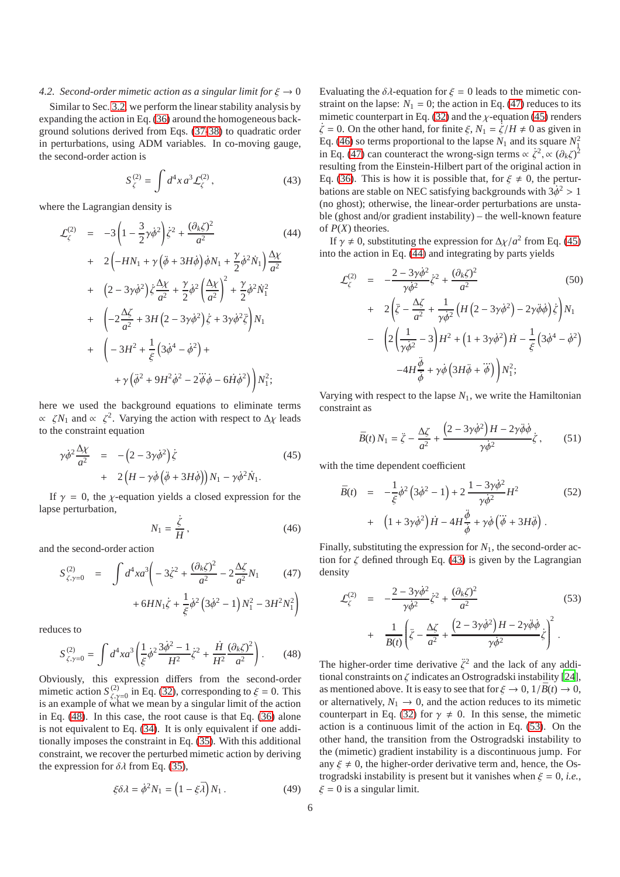# *4.2. Second-order mimetic action as a singular limit for*  $\xi \rightarrow 0$

Similar to Sec. [3.2,](#page-3-3) we perform the linear stability analysis by expanding the action in Eq. [\(36\)](#page-4-2) around the homogeneous background solutions derived from Eqs. [\(37](#page-4-3)[-38\)](#page-4-4) to quadratic order in perturbations, using ADM variables. In co-moving gauge, the second-order action is

<span id="page-5-5"></span>
$$
S_{\zeta}^{(2)} = \int d^4x \, a^3 \mathcal{L}_{\zeta}^{(2)}, \tag{43}
$$

where the Lagrangian density is

<span id="page-5-4"></span>
$$
\mathcal{L}_{\zeta}^{(2)} = -3\left(1 - \frac{3}{2}\gamma\dot{\phi}^{2}\right)\dot{\zeta}^{2} + \frac{(\partial_{k}\zeta)^{2}}{a^{2}} \qquad (44)
$$
\n
$$
+ 2\left(-HN_{1} + \gamma\left(\ddot{\phi} + 3H\dot{\phi}\right)\dot{\phi}N_{1} + \frac{\gamma}{2}\dot{\phi}^{2}\dot{N}_{1}\right)\frac{\Delta\chi}{a^{2}}
$$
\n
$$
+ \left(2 - 3\gamma\dot{\phi}^{2}\right)\dot{\zeta}\frac{\Delta\chi}{a^{2}} + \frac{\gamma}{2}\dot{\phi}^{2}\left(\frac{\Delta\chi}{a^{2}}\right)^{2} + \frac{\gamma}{2}\dot{\phi}^{2}\dot{N}_{1}^{2}
$$
\n
$$
+ \left(-2\frac{\Delta\zeta}{a^{2}} + 3H\left(2 - 3\gamma\dot{\phi}^{2}\right)\dot{\zeta} + 3\gamma\dot{\phi}^{2}\ddot{\zeta}\right)N_{1}
$$
\n
$$
+ \left(-3H^{2} + \frac{1}{\xi}\left(3\dot{\phi}^{4} - \dot{\phi}^{2}\right) + \frac{1}{\gamma}\left(\ddot{\phi}^{2} + 9H^{2}\dot{\phi}^{2} - 2\ddot{\phi}\dot{\phi} - 6\dot{H}\dot{\phi}^{2}\right)\right)N_{1}^{2};
$$
\n(44)

here we used the background equations to eliminate terms  $\propto \zeta N_1$  and  $\propto \zeta^2$ . Varying the action with respect to  $\Delta \chi$  leads to the constraint equation

<span id="page-5-2"></span>
$$
\gamma \dot{\phi}^2 \frac{\Delta \chi}{a^2} = -(2 - 3\gamma \dot{\phi}^2) \dot{\zeta}
$$
\n
$$
+ 2 \left( H - \gamma \dot{\phi} \left( \ddot{\phi} + 3H \dot{\phi} \right) \right) N_1 - \gamma \dot{\phi}^2 \dot{N}_1.
$$
\n(45)

If  $\gamma = 0$ , the *y*-equation yields a closed expression for the lapse perturbation,

<span id="page-5-3"></span>
$$
N_1 = \frac{\dot{\zeta}}{H},\qquad(46)
$$

and the second-order action

<span id="page-5-1"></span>
$$
S_{\zeta,\gamma=0}^{(2)} = \int d^4x a^3 \left( -3\dot{\zeta}^2 + \frac{(\partial_k \zeta)^2}{a^2} - 2\frac{\Delta \zeta}{a^2} N_1 \right) + 6HN_1 \dot{\zeta} + \frac{1}{\xi} \dot{\phi}^2 \left( 3\dot{\phi}^2 - 1 \right) N_1^2 - 3H^2 N_1^2 \right)
$$

reduces to

<span id="page-5-0"></span>
$$
S_{\zeta,\gamma=0}^{(2)} = \int d^4x a^3 \left(\frac{1}{\xi} \dot{\phi}^2 \frac{3\dot{\phi}^2 - 1}{H^2} \dot{\zeta}^2 + \frac{\dot{H}}{H^2} \frac{(\partial_k \zeta)^2}{a^2}\right). \tag{48}
$$

Obviously, this expression differs from the second-order mimetic action  $S^{(2)}_{\zeta,\gamma=0}$  in Eq. [\(32\)](#page-3-4), corresponding to  $\xi = 0$ . This is an example of what we mean by a singular limit of the action in Eq. [\(48\)](#page-5-0). In this case, the root cause is that Eq. [\(36\)](#page-4-2) alone is not equivalent to Eq. [\(34\)](#page-4-5). It is only equivalent if one additionally imposes the constraint in Eq. [\(35\)](#page-4-1). With this additional constraint, we recover the perturbed mimetic action by deriving the expression for  $\delta \lambda$  from Eq. [\(35\)](#page-4-1),

$$
\xi \delta \lambda = \dot{\phi}^2 N_1 = \left(1 - \xi \bar{\lambda}\right) N_1. \tag{49}
$$

Evaluating the  $\delta \lambda$ -equation for  $\xi = 0$  leads to the mimetic constraint on the lapse:  $N_1 = 0$ ; the action in Eq. [\(47\)](#page-5-1) reduces to its mimetic counterpart in Eq. [\(32\)](#page-3-4) and the  $\chi$ -equation [\(45\)](#page-5-2) renders  $\dot{\zeta} = 0$ . On the other hand, for finite  $\xi$ ,  $N_1 = \dot{\zeta}/H \neq 0$  as given in Eq. [\(46\)](#page-5-3) so terms proportional to the lapse  $N_1$  and its square  $N_1^2$ in Eq. [\(47\)](#page-5-1) can counteract the wrong-sign terms  $\propto \zeta^2$ ,  $\propto (\partial_k \zeta)^2$ resulting from the Einstein-Hilbert part of the original action in Eq. [\(36\)](#page-4-2). This is how it is possible that, for  $\xi \neq 0$ , the perturbations are stable on NEC satisfying backgrounds with  $3\dot{\phi}^2 > 1$ (no ghost); otherwise, the linear-order perturbations are unstable (ghost and/or gradient instability) – the well-known feature of *P*(*X*) theories.

If  $\gamma \neq 0$ , substituting the expression for  $\Delta \chi/a^2$  from Eq. [\(45\)](#page-5-2) into the action in Eq. [\(44\)](#page-5-4) and integrating by parts yields

$$
\mathcal{L}_{\zeta}^{(2)} = -\frac{2 - 3\gamma\dot{\phi}^2}{\gamma\dot{\phi}^2}\dot{\zeta}^2 + \frac{(\partial_k \zeta)^2}{a^2} \qquad (50)
$$
  
+ 
$$
2\left(\ddot{\zeta} - \frac{\Delta\zeta}{a^2} + \frac{1}{\gamma\dot{\phi}^2}\left(H\left(2 - 3\gamma\dot{\phi}^2\right) - 2\gamma\ddot{\phi}\dot{\phi}\right)\dot{\zeta}\right)N_1
$$
  
- 
$$
\left(2\left(\frac{1}{\gamma\dot{\phi}^2} - 3\right)H^2 + \left(1 + 3\gamma\dot{\phi}^2\right)H - \frac{1}{\xi}\left(3\dot{\phi}^4 - \dot{\phi}^2\right) -4H\frac{\ddot{\phi}}{\dot{\phi}} + \gamma\dot{\phi}\left(3H\ddot{\phi} + \dddot{\phi}\right)\right)N_1^2;
$$

Varying with respect to the lapse  $N_1$ , we write the Hamiltonian constraint as

$$
\bar{B}(t) N_1 = \ddot{\zeta} - \frac{\Delta \zeta}{a^2} + \frac{\left(2 - 3\gamma \dot{\phi}^2\right)H - 2\gamma \ddot{\phi} \dot{\phi}}{\gamma \dot{\phi}^2} \dot{\zeta}, \qquad (51)
$$

with the time dependent coefficient

$$
\bar{B}(t) = -\frac{1}{\xi}\dot{\phi}^{2}\left(3\dot{\phi}^{2}-1\right)+2\frac{1-3\gamma\dot{\phi}^{2}}{\gamma\dot{\phi}^{2}}H^{2}
$$
\n
$$
+\left(1+3\gamma\dot{\phi}^{2}\right)\dot{H}-4H\frac{\ddot{\phi}}{\dot{\phi}}+\gamma\dot{\phi}\left(\dddot{\phi}+3H\ddot{\phi}\right).
$$
\n(52)

Finally, substituting the expression for  $N_1$ , the second-order action for  $\zeta$  defined through Eq. [\(43\)](#page-5-5) is given by the Lagrangian density

<span id="page-5-6"></span>
$$
\mathcal{L}_{\zeta}^{(2)} = -\frac{2 - 3\gamma\dot{\phi}^2}{\gamma\dot{\phi}^2}\dot{\zeta}^2 + \frac{(\partial_k \zeta)^2}{a^2} + \frac{1}{\bar{B}(t)}\left(\ddot{\zeta} - \frac{\Delta\zeta}{a^2} + \frac{\left(2 - 3\gamma\dot{\phi}^2\right)H - 2\gamma\ddot{\phi}\dot{\phi}}{\gamma\dot{\phi}^2}\dot{\zeta}\right)^2.
$$
\n(53)

The higher-order time derivative  $\ddot{\zeta}^2$  and the lack of any additional constraints on  $\zeta$  indicates an Ostrogradski instability [\[24\]](#page-7-5), as mentioned above. It is easy to see that for  $\xi \to 0$ ,  $1/\overline{B}(t) \to 0$ , or alternatively,  $N_1 \rightarrow 0$ , and the action reduces to its mimetic counterpart in Eq. [\(32\)](#page-3-4) for  $\gamma \neq 0$ . In this sense, the mimetic action is a continuous limit of the action in Eq. [\(53\)](#page-5-6). On the other hand, the transition from the Ostrogradski instability to the (mimetic) gradient instability is a discontinuous jump. For any  $\xi \neq 0$ , the higher-order derivative term and, hence, the Ostrogradski instability is present but it vanishes when  $\xi = 0$ , *i.e.*,  $\xi = 0$  is a singular limit.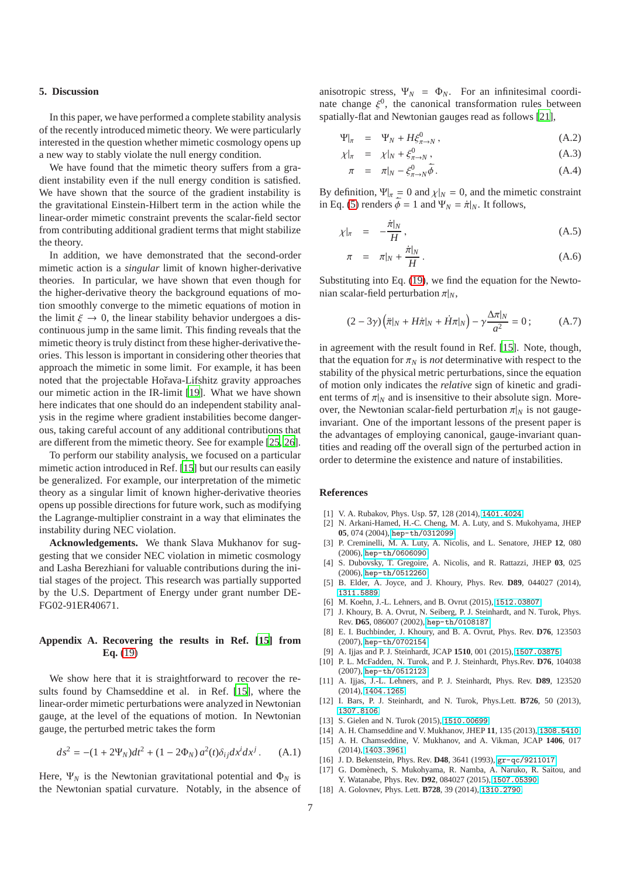# <span id="page-6-15"></span>**5. Discussion**

In this paper, we have performed a complete stability analysis of the recently introduced mimetic theory. We were particularly interested in the question whether mimetic cosmology opens up a new way to stably violate the null energy condition.

We have found that the mimetic theory suffers from a gradient instability even if the null energy condition is satisfied. We have shown that the source of the gradient instability is the gravitational Einstein-Hilbert term in the action while the linear-order mimetic constraint prevents the scalar-field sector from contributing additional gradient terms that might stabilize the theory.

In addition, we have demonstrated that the second-order mimetic action is a *singular* limit of known higher-derivative theories. In particular, we have shown that even though for the higher-derivative theory the background equations of motion smoothly converge to the mimetic equations of motion in the limit  $\xi \to 0$ , the linear stability behavior undergoes a discontinuous jump in the same limit. This finding reveals that the mimetic theory is truly distinct from these higher-derivative theories. This lesson is important in considering other theories that approach the mimetic in some limit. For example, it has been noted that the projectable Hořava-Lifshitz gravity approaches our mimetic action in the IR-limit [\[19\]](#page-7-0). What we have shown here indicates that one should do an independent stability analysis in the regime where gradient instabilities become dangerous, taking careful account of any additional contributions that are different from the mimetic theory. See for example [\[25](#page-7-6), [26\]](#page-7-7).

To perform our stability analysis, we focused on a particular mimetic action introduced in Ref. [\[15\]](#page-6-14) but our results can easily be generalized. For example, our interpretation of the mimetic theory as a singular limit of known higher-derivative theories opens up possible directions for future work, such as modifying the Lagrange-multiplier constraint in a way that eliminates the instability during NEC violation.

**Acknowledgements.** We thank Slava Mukhanov for suggesting that we consider NEC violation in mimetic cosmology and Lasha Berezhiani for valuable contributions during the initial stages of the project. This research was partially supported by the U.S. Department of Energy under grant number DE-FG02-91ER40671.

# <span id="page-6-19"></span>**Appendix A. Recovering the results in Ref. [\[15](#page-6-14)] from Eq.** [\(19\)](#page-2-7)

We show here that it is straightforward to recover the results found by Chamseddine et al. in Ref. [\[15](#page-6-14)], where the linear-order mimetic perturbations were analyzed in Newtonian gauge, at the level of the equations of motion. In Newtonian gauge, the perturbed metric takes the form

$$
ds^{2} = -(1 + 2\Psi_{N})dt^{2} + (1 - 2\Phi_{N}) a^{2}(t)\delta_{ij}dx^{i}dx^{j}. \quad (A.1)
$$

Here,  $\Psi_N$  is the Newtonian gravitational potential and  $\Phi_N$  is the Newtonian spatial curvature. Notably, in the absence of anisotropic stress,  $\Psi_N = \Phi_N$ . For an infinitesimal coordinate change  $\xi^0$ , the canonical transformation rules between spatially-flat and Newtonian gauges read as follows [\[21\]](#page-7-2),

$$
\Psi|_{\pi} = \Psi_N + H\xi_{\pi \to N}^0, \qquad (A.2)
$$

$$
\chi|_{\pi} = \chi|_{N} + \xi_{\pi \to N}^{0}, \qquad (A.3)
$$

$$
\pi = \pi|_{N} - \xi_{\pi \to N}^{0} \dot{\bar{\phi}}.
$$
\n(A.4)

By definition,  $\Psi|_{\pi} = 0$  and  $\chi|_{N} = 0$ , and the mimetic constraint in Eq. [\(5\)](#page-1-6) renders  $\dot{\bar{\phi}} = 1$  and  $\Psi_N = \dot{\pi}|_N$ . It follows,

$$
\chi|_{\pi} = -\frac{\dot{\pi}|_N}{H},\tag{A.5}
$$

$$
\pi = \pi|_N + \frac{\dot{\pi}|_N}{H}.
$$
\n(A.6)

Substituting into Eq. [\(19\)](#page-2-7), we find the equation for the Newtonian scalar-field perturbation  $\pi|_N$ ,

$$
(2-3\gamma)\left(\ddot{\pi}|_N + H\dot{\pi}|_N + \dot{H}\pi|_N\right) - \gamma \frac{\Delta \pi|_N}{a^2} = 0; \tag{A.7}
$$

in agreement with the result found in Ref. [\[15\]](#page-6-14). Note, though, that the equation for  $\pi_N$  is *not* determinative with respect to the stability of the physical metric perturbations, since the equation of motion only indicates the *relative* sign of kinetic and gradient terms of  $\pi|_N$  and is insensitive to their absolute sign. Moreover, the Newtonian scalar-field perturbation  $\pi|_N$  is not gaugeinvariant. One of the important lessons of the present paper is the advantages of employing canonical, gauge-invariant quantities and reading off the overall sign of the perturbed action in order to determine the existence and nature of instabilities.

#### **References**

- <span id="page-6-0"></span>[1] V. A. Rubakov, Phys. Usp. **57**, 128 (2014), <1401.4024>.
- <span id="page-6-1"></span>[2] N. Arkani-Hamed, H.-C. Cheng, M. A. Luty, and S. Mukohyama, JHEP **05**, 074 (2004), <hep-th/0312099>.
- <span id="page-6-2"></span>[3] P. Creminelli, M. A. Luty, A. Nicolis, and L. Senatore, JHEP **12**, 080 (2006), <hep-th/0606090>.
- <span id="page-6-3"></span>[4] S. Dubovsky, T. Gregoire, A. Nicolis, and R. Rattazzi, JHEP **03**, 025 (2006), <hep-th/0512260>.
- <span id="page-6-4"></span>[5] B. Elder, A. Joyce, and J. Khoury, Phys. Rev. **D89**, 044027 (2014), <1311.5889>.
- <span id="page-6-5"></span>[6] M. Koehn, J.-L. Lehners, and B. Ovrut (2015), <1512.03807>.
- <span id="page-6-6"></span>[7] J. Khoury, B. A. Ovrut, N. Seiberg, P. J. Steinhardt, and N. Turok, Phys. Rev. **D65**, 086007 (2002), <hep-th/0108187>.
- <span id="page-6-7"></span>[8] E. I. Buchbinder, J. Khoury, and B. A. Ovrut, Phys. Rev. **D76**, 123503 (2007), <hep-th/0702154>.
- <span id="page-6-8"></span>[9] A. Ijjas and P. J. Steinhardt, JCAP **1510**, 001 (2015), <1507.03875>.
- <span id="page-6-9"></span>[10] P. L. McFadden, N. Turok, and P. J. Steinhardt, Phys.Rev. **D76**, 104038 (2007), <hep-th/0512123>.
- <span id="page-6-10"></span>[11] A. Ijjas, J.-L. Lehners, and P. J. Steinhardt, Phys. Rev. **D89**, 123520 (2014), <1404.1265>.
- <span id="page-6-11"></span>[12] I. Bars, P. J. Steinhardt, and N. Turok, Phys.Lett. **B726**, 50 (2013), <1307.8106>.
- <span id="page-6-12"></span>[13] S. Gielen and N. Turok (2015), <1510.00699>.
- <span id="page-6-13"></span>[14] A. H. Chamseddine and V. Mukhanov, JHEP **11**, 135 (2013), <1308.5410>.
- <span id="page-6-14"></span>[15] A. H. Chamseddine, V. Mukhanov, and A. Vikman, JCAP **1406**, 017 (2014), <1403.3961>.
- <span id="page-6-16"></span>[16] J. D. Bekenstein, Phys. Rev. **D48**, 3641 (1993), <gr-qc/9211017>.
- <span id="page-6-17"></span>[17] G. Domènech, S. Mukohyama, R. Namba, A. Naruko, R. Saitou, and Y. Watanabe, Phys. Rev. **D92**, 084027 (2015), <1507.05390>.
- <span id="page-6-18"></span>[18] A. Golovnev, Phys. Lett. **B728**, 39 (2014), <1310.2790>.